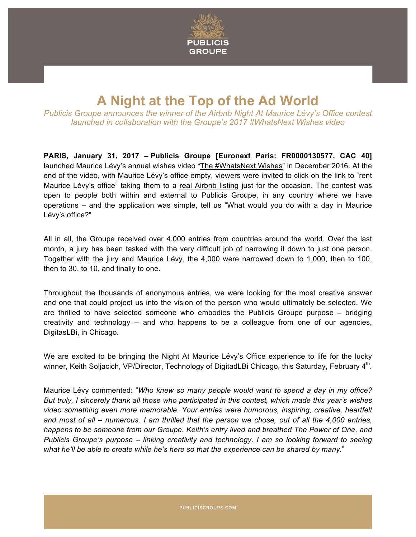

## **A Night at the Top of the Ad World**

*Publicis Groupe announces the winner of the Airbnb Night At Maurice Lévy's Office contest launched in collaboration with the Groupe's 2017 #WhatsNext Wishes video*

**PARIS, January 31, 2017 – Publicis Groupe [Euronext Paris: FR0000130577, CAC 40]** launched Maurice Lévy's annual wishes video "The #WhatsNext Wishes" in December 2016. At the end of the video, with Maurice Lévy's office empty, viewers were invited to click on the link to "rent Maurice Lévy's office" taking them to a real Airbnb listing just for the occasion. The contest was open to people both within and external to Publicis Groupe, in any country where we have operations – and the application was simple, tell us "What would you do with a day in Maurice Lévy's office?"

All in all, the Groupe received over 4,000 entries from countries around the world. Over the last month, a jury has been tasked with the very difficult job of narrowing it down to just one person. Together with the jury and Maurice Lévy, the 4,000 were narrowed down to 1,000, then to 100, then to 30, to 10, and finally to one.

Throughout the thousands of anonymous entries, we were looking for the most creative answer and one that could project us into the vision of the person who would ultimately be selected. We are thrilled to have selected someone who embodies the Publicis Groupe purpose – bridging creativity and technology – and who happens to be a colleague from one of our agencies, DigitasLBi, in Chicago.

We are excited to be bringing the Night At Maurice Lévy's Office experience to life for the lucky winner, Keith Soljacich, VP/Director, Technology of DigitadLBi Chicago, this Saturday, February 4<sup>th</sup>.

Maurice Lévy commented: "*Who knew so many people would want to spend a day in my office? But truly, I sincerely thank all those who participated in this contest, which made this year's wishes video something even more memorable. Your entries were humorous, inspiring, creative, heartfelt and most of all – numerous. I am thrilled that the person we chose, out of all the 4,000 entries, happens to be someone from our Groupe. Keith's entry lived and breathed The Power of One, and Publicis Groupe's purpose – linking creativity and technology. I am so looking forward to seeing what he'll be able to create while he's here so that the experience can be shared by many.*"